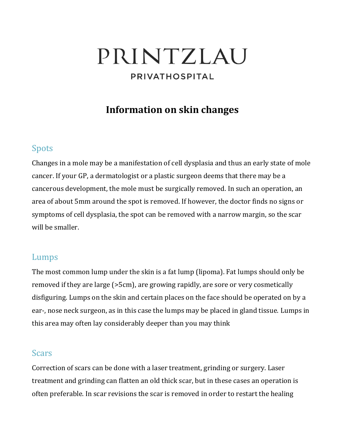# PRINTZLAU PRIVATHOSPITAL

# **Information on skin changes**

## Spots

Changes in a mole may be a manifestation of cell dysplasia and thus an early state of mole cancer. If your GP, a dermatologist or a plastic surgeon deems that there may be a cancerous development, the mole must be surgically removed. In such an operation, an area of about 5mm around the spot is removed. If however, the doctor finds no signs or symptoms of cell dysplasia, the spot can be removed with a narrow margin, so the scar will be smaller.

## Lumps

The most common lump under the skin is a fat lump (lipoma). Fat lumps should only be removed if they are large (>5cm), are growing rapidly, are sore or very cosmetically disfiguring. Lumps on the skin and certain places on the face should be operated on by a ear-, nose neck surgeon, as in this case the lumps may be placed in gland tissue. Lumps in this area may often lay considerably deeper than you may think

## Scars

Correction of scars can be done with a laser treatment, grinding or surgery. Laser treatment and grinding can flatten an old thick scar, but in these cases an operation is often preferable. In scar revisions the scar is removed in order to restart the healing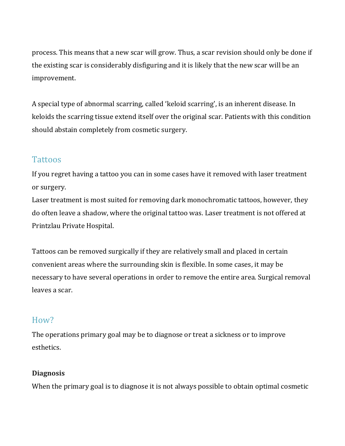process. This means that a new scar will grow. Thus, a scar revision should only be done if the existing scar is considerably disfiguring and it is likely that the new scar will be an improvement.

A special type of abnormal scarring, called 'keloid scarring', is an inherent disease. In keloids the scarring tissue extend itself over the original scar. Patients with this condition should abstain completely from cosmetic surgery.

## **Tattoos**

If you regret having a tattoo you can in some cases have it removed with laser treatment or surgery.

Laser treatment is most suited for removing dark monochromatic tattoos, however, they do often leave a shadow, where the original tattoo was. Laser treatment is not offered at Printzlau Private Hospital.

Tattoos can be removed surgically if they are relatively small and placed in certain convenient areas where the surrounding skin is flexible. In some cases, it may be necessary to have several operations in order to remove the entire area. Surgical removal leaves a scar.

# How?

The operations primary goal may be to diagnose or treat a sickness or to improve esthetics.

## **Diagnosis**

When the primary goal is to diagnose it is not always possible to obtain optimal cosmetic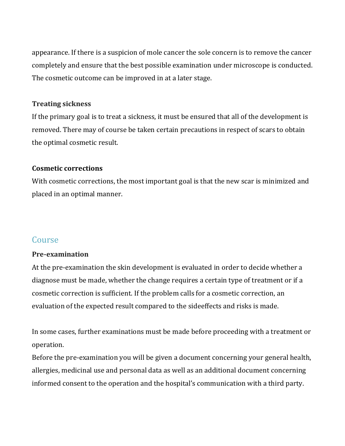appearance. If there is a suspicion of mole cancer the sole concern is to remove the cancer completely and ensure that the best possible examination under microscope is conducted. The cosmetic outcome can be improved in at a later stage.

#### **Treating sickness**

If the primary goal is to treat a sickness, it must be ensured that all of the development is removed. There may of course be taken certain precautions in respect of scars to obtain the optimal cosmetic result.

### **Cosmetic corrections**

With cosmetic corrections, the most important goal is that the new scar is minimized and placed in an optimal manner.

## Course

## **Pre-examination**

At the pre-examination the skin development is evaluated in order to decide whether a diagnose must be made, whether the change requires a certain type of treatment or if a cosmetic correction is sufficient. If the problem calls for a cosmetic correction, an evaluation of the expected result compared to the sideeffects and risks is made.

In some cases, further examinations must be made before proceeding with a treatment or operation.

Before the pre-examination you will be given a document concerning your general health, allergies, medicinal use and personal data as well as an additional document concerning informed consent to the operation and the hospital's communication with a third party.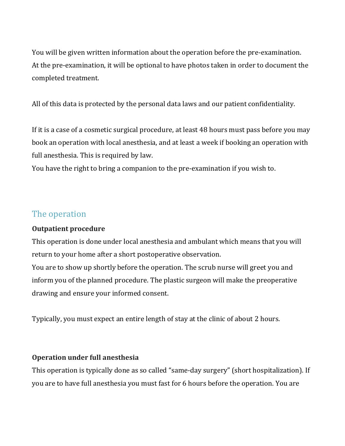You will be given written information about the operation before the pre-examination. At the pre-examination, it will be optional to have photos taken in order to document the completed treatment.

All of this data is protected by the personal data laws and our patient confidentiality.

If it is a case of a cosmetic surgical procedure, at least 48 hours must pass before you may book an operation with local anesthesia, and at least a week if booking an operation with full anesthesia. This is required by law.

You have the right to bring a companion to the pre-examination if you wish to.

## The operation

## **Outpatient procedure**

This operation is done under local anesthesia and ambulant which means that you will return to your home after a short postoperative observation.

You are to show up shortly before the operation. The scrub nurse will greet you and inform you of the planned procedure. The plastic surgeon will make the preoperative drawing and ensure your informed consent.

Typically, you must expect an entire length of stay at the clinic of about 2 hours.

## **Operation under full anesthesia**

This operation is typically done as so called "same-day surgery" (short hospitalization). If you are to have full anesthesia you must fast for 6 hours before the operation. You are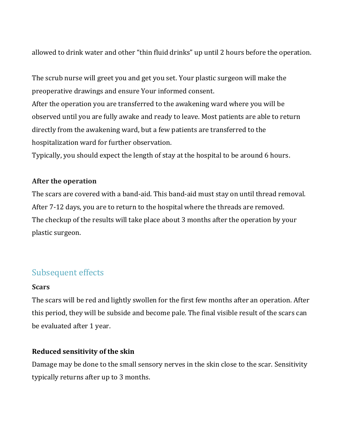allowed to drink water and other "thin fluid drinks" up until 2 hours before the operation.

The scrub nurse will greet you and get you set. Your plastic surgeon will make the preoperative drawings and ensure Your informed consent.

After the operation you are transferred to the awakening ward where you will be observed until you are fully awake and ready to leave. Most patients are able to return directly from the awakening ward, but a few patients are transferred to the hospitalization ward for further observation.

Typically, you should expect the length of stay at the hospital to be around 6 hours.

### **After the operation**

The scars are covered with a band-aid. This band-aid must stay on until thread removal. After 7-12 days, you are to return to the hospital where the threads are removed. The checkup of the results will take place about 3 months after the operation by your plastic surgeon.

# Subsequent effects

#### **Scars**

The scars will be red and lightly swollen for the first few months after an operation. After this period, they will be subside and become pale. The final visible result of the scars can be evaluated after 1 year.

## **Reduced sensitivity of the skin**

Damage may be done to the small sensory nerves in the skin close to the scar. Sensitivity typically returns after up to 3 months.